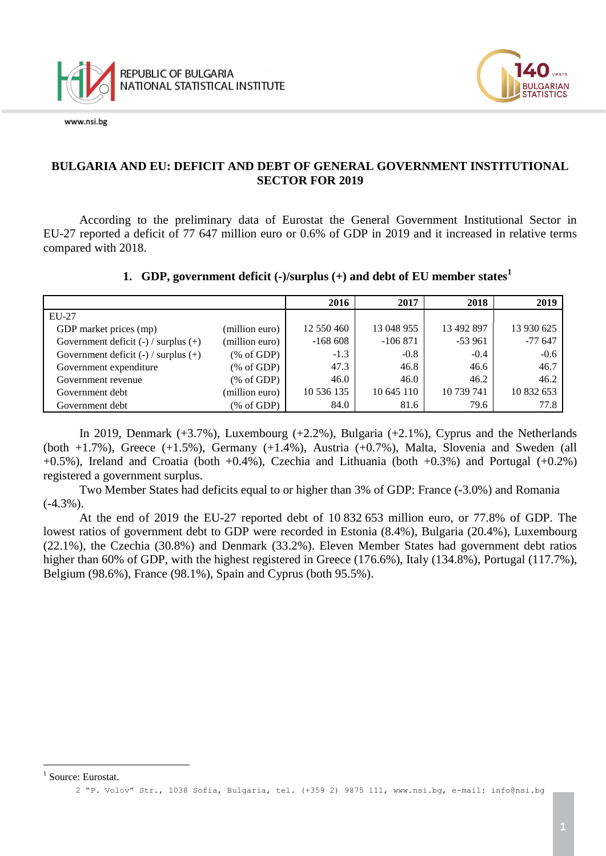

www.nsi.be



## **BULGARIA AND EU: DEFICIT AND DEBT OF GENERAL GOVERNMENT INSTITUTIONAL SECTOR FOR 2019**

According to the preliminary data of Eurostat the General Government Institutional Sector in EU-27 reported a deficit of 77 647 million euro or 0.6% of GDP in 2019 and it increased in relative terms compared with 2018.

#### **1. GDP, government deficit (-)/surplus (+) and debt of EU member states<sup>1</sup>**

|                                          |                                                       | 2016       | 2017       | 2018       | 2019       |
|------------------------------------------|-------------------------------------------------------|------------|------------|------------|------------|
| EU-27                                    |                                                       |            |            |            |            |
| GDP market prices (mp)                   | (million euro)                                        | 12 550 460 | 13 048 955 | 13 492 897 | 13 930 625 |
| Government deficit $(-)$ / surplus $(+)$ | (million euro)                                        | $-168608$  | $-106871$  | $-53961$   | $-77647$   |
| Government deficit $(-)$ / surplus $(+)$ | % of GDP                                              | $-1.3$     | $-0.8$     | $-0.4$     | $-0.6$     |
| Government expenditure                   | % of GDP                                              | 47.3       | 46.8       | 46.6       | 46.7       |
| Government revenue                       | % of GDP                                              | 46.0       | 46.0       | 46.2       | 46.2       |
| Government debt                          | (million euro)                                        | 10 536 135 | 10 645 110 | 10 739 741 | 10 832 653 |
| Government debt                          | $(% \mathcal{L}_{0} \cap \mathcal{L}_{1})$ (% of GDP) | 84.0       | 81.6       | 79.6       | 77.8       |

In 2019, Denmark (+3.7%), Luxembourg (+2.2%), Bulgaria (+2.1%), Cyprus and the Netherlands (both  $+1.7\%$ ), Greece  $(+1.5\%)$ , Germany  $(+1.4\%)$ , Austria  $(+0.7\%)$ , Malta, Slovenia and Sweden (all  $+0.5\%$ ), Ireland and Croatia (both  $+0.4\%$ ), Czechia and Lithuania (both  $+0.3\%$ ) and Portugal ( $+0.2\%$ ) registered a government surplus.

Two Member States had deficits equal to or higher than 3% of GDP: France (-3.0%) and Romania (-4.3%).

At the end of 2019 the EU-27 reported debt of 10 832 653 million euro, or 77.8% of GDP. The lowest ratios of government debt to GDP were recorded in Estonia (8.4%), Bulgaria (20.4%), Luxembourg (22.1%), the Czechia (30.8%) and Denmark (33.2%). Eleven Member States had government debt ratios higher than 60% of GDP, with the highest registered in Greece (176.6%), Italy (134.8%), Portugal (117.7%), Belgium (98.6%), France (98.1%), Spain and Cyprus (both 95.5%).

i<br>L

<sup>&</sup>lt;sup>1</sup> Source: Eurostat.

<sup>2</sup> "P. Volov" Str., 1038 Sofia, Bulgaria, tel. (+359 2) 9875 111, [www.nsi.bg,](http://www.nsi.bg/) e-mail: info@nsi.bg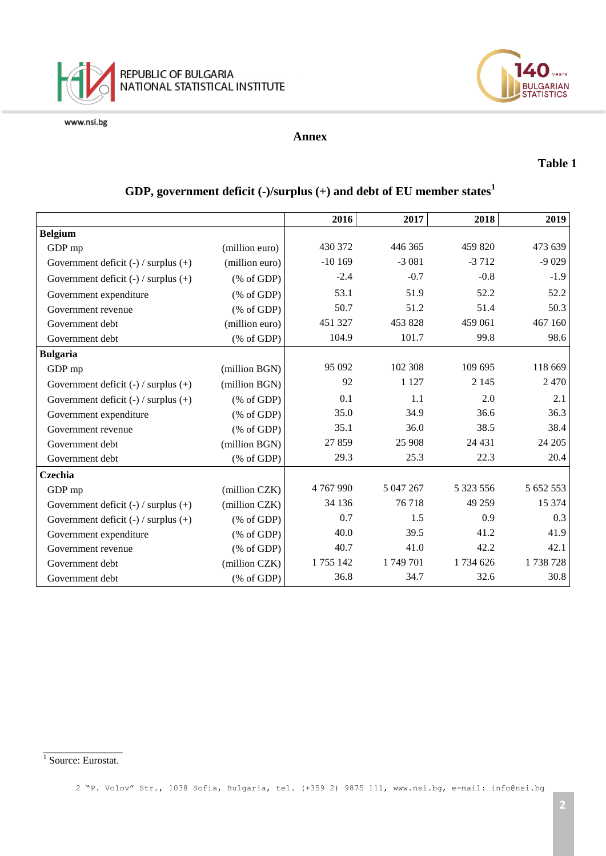





#### **Annex**

#### **Table 1**

|                                          |                                                       | 2016      | 2017      | 2018      | 2019      |
|------------------------------------------|-------------------------------------------------------|-----------|-----------|-----------|-----------|
| <b>Belgium</b>                           |                                                       |           |           |           |           |
| GDP mp                                   | (million euro)                                        | 430 372   | 446 365   | 459 820   | 473 639   |
| Government deficit $(-)$ / surplus $(+)$ | (million euro)                                        | $-10169$  | $-3081$   | $-3712$   | $-9029$   |
| Government deficit $(-)$ / surplus $(+)$ | $(% \mathcal{L}_{0}^{\infty}$ (% of GDP)              | $-2.4$    | $-0.7$    | $-0.8$    | $-1.9$    |
| Government expenditure                   | $(% \mathcal{L}_{0}^{\infty}$ (% of GDP)              | 53.1      | 51.9      | 52.2      | 52.2      |
| Government revenue                       | $(% \mathcal{L}_{0}^{\infty}$ (% of GDP)              | 50.7      | 51.2      | 51.4      | 50.3      |
| Government debt                          | (million euro)                                        | 451 327   | 453 828   | 459 061   | 467 160   |
| Government debt                          | $(% \mathcal{L}_{0} \cap \mathcal{L}_{1})$ (% of GDP) | 104.9     | 101.7     | 99.8      | 98.6      |
| <b>Bulgaria</b>                          |                                                       |           |           |           |           |
| GDP mp                                   | (million BGN)                                         | 95 092    | 102 308   | 109 695   | 118 669   |
| Government deficit $(-)$ / surplus $(+)$ | (million BGN)                                         | 92        | 1 1 2 7   | 2 1 4 5   | 2470      |
| Government deficit $(-)$ / surplus $(+)$ | $(% \mathcal{L}_{0} \cap \mathcal{L}_{1})$ (% of GDP) | 0.1       | 1.1       | 2.0       | 2.1       |
| Government expenditure                   | $(% \mathcal{L}_{0} \cap \mathcal{L}_{1})$ (% of GDP) | 35.0      | 34.9      | 36.6      | 36.3      |
| Government revenue                       | $(% \mathcal{L}_{0} \cap \mathcal{L}_{1})$ (% of GDP) | 35.1      | 36.0      | 38.5      | 38.4      |
| Government debt                          | (million BGN)                                         | 27859     | 25 908    | 24 4 31   | 24 20 5   |
| Government debt                          | $(% \mathcal{L}_{0} \cap \mathcal{L}_{1})$ (% of GDP) | 29.3      | 25.3      | 22.3      | 20.4      |
| Czechia                                  |                                                       |           |           |           |           |
| GDP mp                                   | (million CZK)                                         | 4767990   | 5 047 267 | 5 323 556 | 5 652 553 |
| Government deficit $(-)$ / surplus $(+)$ | (million CZK)                                         | 34 136    | 76718     | 49 259    | 15 374    |
| Government deficit $(-)$ / surplus $(+)$ | $(% \mathcal{L}_{0} \cap \mathcal{L}_{1})$ (% of GDP) | 0.7       | 1.5       | 0.9       | 0.3       |
| Government expenditure                   | $(\% \text{ of GDP})$                                 | 40.0      | 39.5      | 41.2      | 41.9      |
| Government revenue                       | $(% \mathcal{L}_{0} \cap \mathcal{L}_{1})$ (% of GDP) | 40.7      | 41.0      | 42.2      | 42.1      |
| Government debt                          | (million CZK)                                         | 1 755 142 | 1749701   | 1734 626  | 1738728   |
| Government debt                          | $(% \mathcal{L}_{0} \cap \mathcal{L}_{1})$ (% of GDP) | 36.8      | 34.7      | 32.6      | 30.8      |

## **GDP, government deficit (-)/surplus (+) and debt of EU member states<sup>1</sup>**

 $\frac{1}{1}$  Source: Eurostat.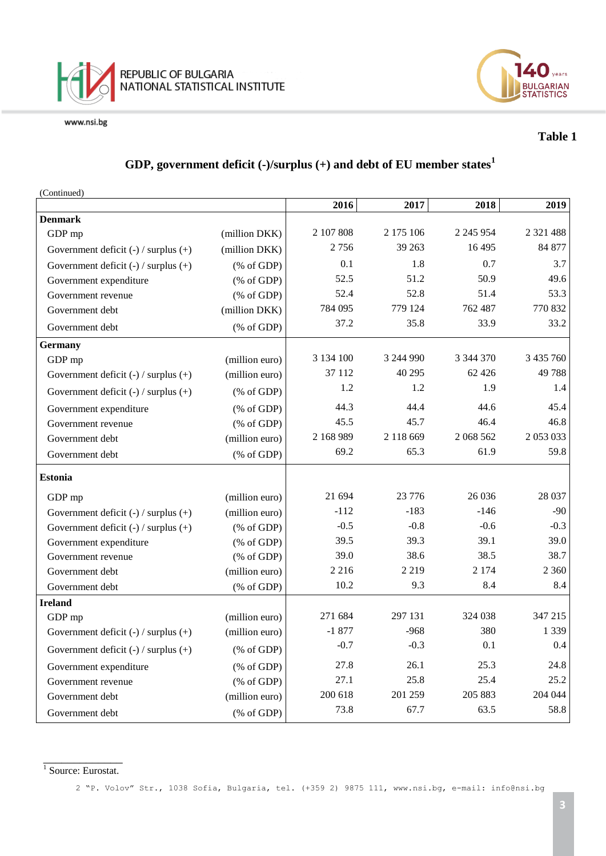



## **Table 1**

## **GDP, government deficit (-)/surplus (+) and debt of EU member states<sup>1</sup>**

(Continued)

|                                          |                                                                | 2016      | 2017      | 2018          | 2019          |
|------------------------------------------|----------------------------------------------------------------|-----------|-----------|---------------|---------------|
| <b>Denmark</b>                           |                                                                |           |           |               |               |
| GDP mp                                   | (million DKK)                                                  | 2 107 808 | 2 175 106 | 2 2 4 5 9 5 4 | 2 3 2 1 4 8 8 |
| Government deficit $(-)$ / surplus $(+)$ | (million DKK)                                                  | 2756      | 39 263    | 16 4 95       | 84 877        |
| Government deficit $(-)$ / surplus $(+)$ | $(% \mathcal{L}_{0} \cap \mathcal{L}_{1})$ (% of GDP)          | 0.1       | 1.8       | 0.7           | 3.7           |
| Government expenditure                   | $(% \mathcal{L}_{0} \cap \mathcal{L}_{1})$ (% of GDP)          | 52.5      | 51.2      | 50.9          | 49.6          |
| Government revenue                       | $(% \mathcal{L}_{0} \cap \mathcal{L}_{1})$ (% of GDP)          | 52.4      | 52.8      | 51.4          | 53.3          |
| Government debt                          | (million DKK)                                                  | 784 095   | 779 124   | 762 487       | 770 832       |
| Government debt                          | $(% \mathcal{L}_{0} \cap \mathcal{L}_{1})$ (% of GDP)          | 37.2      | 35.8      | 33.9          | 33.2          |
| <b>Germany</b>                           |                                                                |           |           |               |               |
| GDP mp                                   | (million euro)                                                 | 3 134 100 | 3 244 990 | 3 344 370     | 3 435 760     |
| Government deficit $(-)$ / surplus $(+)$ | (million euro)                                                 | 37 112    | 40 295    | 62 4 26       | 49788         |
| Government deficit $(-)$ / surplus $(+)$ | $(% \mathcal{L}_{0} \cap \mathcal{L}_{1})$ (% of GDP)          | 1.2       | 1.2       | 1.9           | 1.4           |
| Government expenditure                   | $(% \mathcal{L}_{0} \cap \mathcal{L}_{1})$ (% of GDP)          | 44.3      | 44.4      | 44.6          | 45.4          |
| Government revenue                       | $(% \mathcal{L}_{0} \cap \mathcal{L}_{1})$ (% of GDP)          | 45.5      | 45.7      | 46.4          | 46.8          |
| Government debt                          | (million euro)                                                 | 2 168 989 | 2 118 669 | 2 068 562     | 2 053 033     |
| Government debt                          | $(% \mathcal{L}_{0} \cap \mathcal{L}_{1})$ (% of GDP)          | 69.2      | 65.3      | 61.9          | 59.8          |
| <b>Estonia</b>                           |                                                                |           |           |               |               |
| GDP mp                                   | (million euro)                                                 | 21 694    | 23 776    | 26 0 36       | 28 037        |
| Government deficit $(-)$ / surplus $(+)$ | (million euro)                                                 | $-112$    | $-183$    | $-146$        | $-90$         |
| Government deficit $(-)$ / surplus $(+)$ | $(% \mathcal{L}_{0} \cap \mathcal{L}_{1})$ (% of GDP)          | $-0.5$    | $-0.8$    | $-0.6$        | $-0.3$        |
| Government expenditure                   | $(% \mathcal{L}_{0} \cap \mathcal{L}_{1})$ (% of GDP)          | 39.5      | 39.3      | 39.1          | 39.0          |
| Government revenue                       | $(% \mathcal{L}_{0} \cap \mathcal{L}_{1})$ (% of GDP)          | 39.0      | 38.6      | 38.5          | 38.7          |
| Government debt                          | (million euro)                                                 | 2 2 1 6   | 2 2 1 9   | 2 1 7 4       | 2 3 6 0       |
| Government debt                          | $(% \mathcal{L}_{0} \cap \mathcal{L}_{1})$ (% of GDP)          | 10.2      | 9.3       | 8.4           | 8.4           |
| <b>Ireland</b>                           |                                                                |           |           |               |               |
| GDP mp                                   | (million euro)                                                 | 271 684   | 297 131   | 324 038       | 347 215       |
| Government deficit $(-)$ / surplus $(+)$ | (million euro)                                                 | $-1877$   | $-968$    | 380           | 1 3 3 9       |
| Government deficit $(-)$ / surplus $(+)$ | $(% \mathcal{L}_{0}^{\infty}$ (% of GDP)                       | $-0.7$    | $-0.3$    | 0.1           | 0.4           |
| Government expenditure                   | $(% \mathcal{L}_{0} \cap \mathcal{L}_{1})$ (% of GDP)          | 27.8      | 26.1      | 25.3          | 24.8          |
| Government revenue                       | $(% \mathcal{L}_{0}^{\ast} \times \mathcal{L}_{1})$ (% of GDP) | 27.1      | 25.8      | 25.4          | 25.2          |
| Government debt                          | (million euro)                                                 | 200 618   | 201 259   | 205 883       | 204 044       |
| Government debt                          | $(% \mathcal{L}_{0} \cap \mathcal{L}_{1})$ (% of GDP)          | 73.8      | 67.7      | 63.5          | 58.8          |

 $\frac{1}{1}$  Source: Eurostat.

2 "P. Volov" Str., 1038 Sofia, Bulgaria, tel. (+359 2) 9875 111, [www.nsi.bg,](http://www.nsi.bg/) e-mail: info@nsi.bg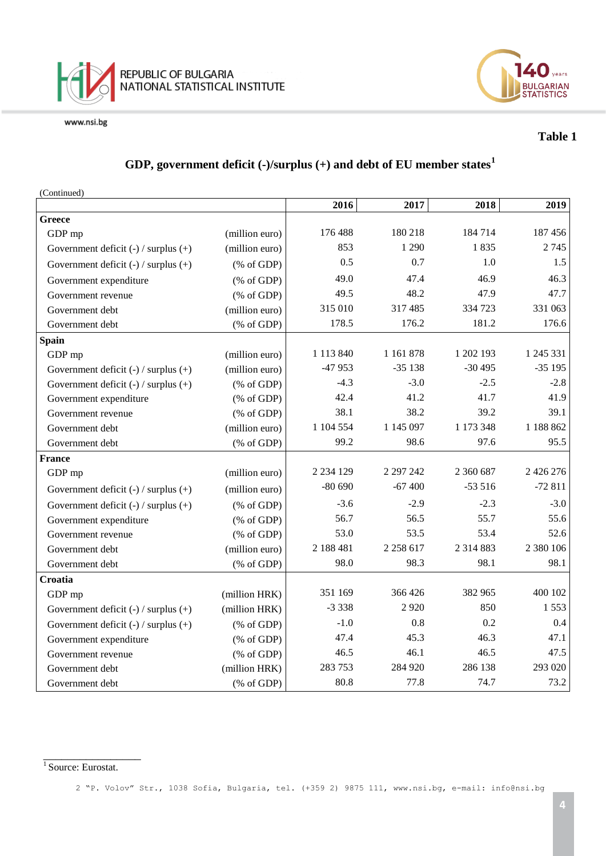



### **Table 1**

## **GDP, government deficit (-)/surplus (+) and debt of EU member states<sup>1</sup>**

(Continued)

|                                          |                                                       | 2016          | 2017          | 2018          | 2019          |
|------------------------------------------|-------------------------------------------------------|---------------|---------------|---------------|---------------|
| <b>Greece</b>                            |                                                       |               |               |               |               |
| GDP mp                                   | (million euro)                                        | 176 488       | 180 218       | 184 714       | 187 456       |
| Government deficit (-) / surplus (+)     | (million euro)                                        | 853           | 1 2 9 0       | 1835          | 2745          |
| Government deficit $(-)$ / surplus $(+)$ | $(% \mathcal{L}_{0} \cap \mathcal{L}_{1})$ (% of GDP) | 0.5           | 0.7           | 1.0           | 1.5           |
| Government expenditure                   | $(% \mathcal{L}_{0} \cap \mathcal{L}_{1})$ (% of GDP) | 49.0          | 47.4          | 46.9          | 46.3          |
| Government revenue                       | $(% \mathcal{L}_{0}$ (% of GDP)                       | 49.5          | 48.2          | 47.9          | 47.7          |
| Government debt                          | (million euro)                                        | 315 010       | 317 485       | 334 723       | 331 063       |
| Government debt                          | $(% \mathcal{L}_{0} \cap \mathcal{L}_{1})$ (% of GDP) | 178.5         | 176.2         | 181.2         | 176.6         |
| <b>Spain</b>                             |                                                       |               |               |               |               |
| GDP mp                                   | (million euro)                                        | 1 113 840     | 1 1 6 1 8 7 8 | 1 202 193     | 1 245 331     |
| Government deficit $(-)$ / surplus $(+)$ | (million euro)                                        | $-47953$      | $-35138$      | $-30495$      | $-35195$      |
| Government deficit $(-)$ / surplus $(+)$ | $(% \mathcal{L}_{0} \cap \mathcal{L}_{1})$ (% of GDP) | $-4.3$        | $-3.0$        | $-2.5$        | $-2.8$        |
| Government expenditure                   | $(% \mathcal{L}_{0}$ (% of GDP)                       | 42.4          | 41.2          | 41.7          | 41.9          |
| Government revenue                       | $(% \mathcal{L}_{0}$ (% of GDP)                       | 38.1          | 38.2          | 39.2          | 39.1          |
| Government debt                          | (million euro)                                        | 1 104 554     | 1 145 097     | 1 173 348     | 1 188 862     |
| Government debt                          | $(% \mathcal{L}_{0} \cap \mathcal{L}_{1})$ (% of GDP) | 99.2          | 98.6          | 97.6          | 95.5          |
| France                                   |                                                       |               |               |               |               |
| GDP mp                                   | (million euro)                                        | 2 2 3 4 1 2 9 | 2 297 242     | 2 360 687     | 2 4 2 6 2 7 6 |
| Government deficit $(-)$ / surplus $(+)$ | (million euro)                                        | $-80690$      | $-67400$      | $-53516$      | $-72811$      |
| Government deficit $(-)$ / surplus $(+)$ | $(% \mathcal{L}_{0} \cap \mathcal{L}_{1})$ (% of GDP) | $-3.6$        | $-2.9$        | $-2.3$        | $-3.0$        |
| Government expenditure                   | $(% \mathcal{L}_{0} \cap \mathcal{L}_{1})$ (% of GDP) | 56.7          | 56.5          | 55.7          | 55.6          |
| Government revenue                       | $(% \mathcal{L}_{0}$ (% of GDP)                       | 53.0          | 53.5          | 53.4          | 52.6          |
| Government debt                          | (million euro)                                        | 2 188 481     | 2 2 5 8 6 1 7 | 2 3 1 4 8 8 3 | 2 380 106     |
| Government debt                          | $(% \mathcal{L}_{0} \cap \mathcal{L}_{1})$ (% of GDP) | 98.0          | 98.3          | 98.1          | 98.1          |
| Croatia                                  |                                                       |               |               |               |               |
| GDP mp                                   | (million HRK)                                         | 351 169       | 366 426       | 382 965       | 400 102       |
| Government deficit $(-)$ / surplus $(+)$ | (million HRK)                                         | $-3338$       | 2920          | 850           | 1553          |
| Government deficit $(-)$ / surplus $(+)$ | $(% \mathcal{L}_{0} \cap \mathcal{L}_{1})$ (% of GDP) | $-1.0$        | 0.8           | 0.2           | 0.4           |
| Government expenditure                   | (% of GDP)                                            | 47.4          | 45.3          | 46.3          | 47.1          |
| Government revenue                       | $(% \mathcal{L}_{0}$ (% of GDP)                       | 46.5          | 46.1          | 46.5          | 47.5          |
| Government debt                          | (million HRK)                                         | 283 753       | 284 920       | 286 138       | 293 020       |
| Government debt                          | (% of GDP)                                            | 80.8          | 77.8          | 74.7          | 73.2          |

<sup>1&</sup>lt;br><sup>1</sup> Source: Eurostat.

<sup>2</sup> "P. Volov" Str., 1038 Sofia, Bulgaria, tel. (+359 2) 9875 111, [www.nsi.bg,](http://www.nsi.bg/) e-mail: info@nsi.bg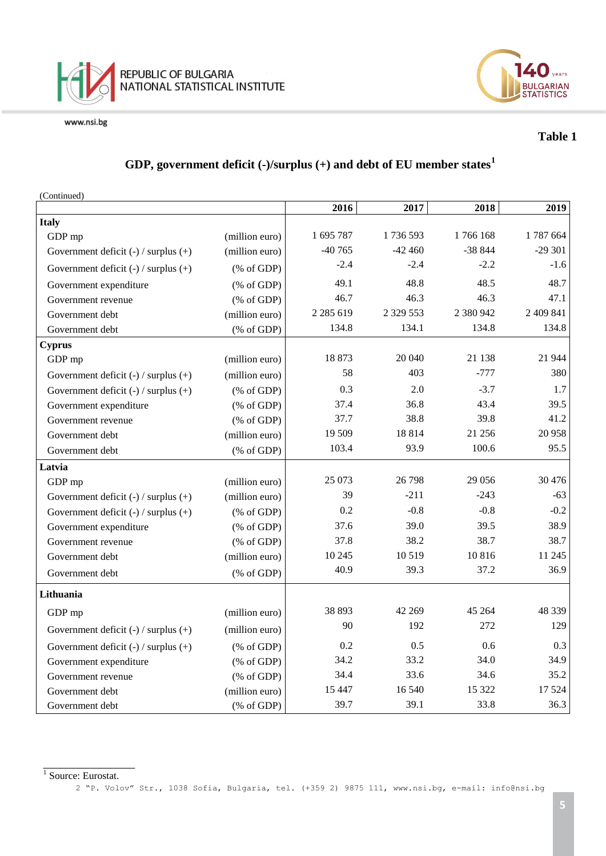



### **Table 1**

## **GDP, government deficit (-)/surplus (+) and debt of EU member states<sup>1</sup>**

| (Continued)                              |                                                       |               |              |           |           |
|------------------------------------------|-------------------------------------------------------|---------------|--------------|-----------|-----------|
|                                          |                                                       | 2016          | 2017         | 2018      | 2019      |
| <b>Italy</b>                             |                                                       |               |              |           |           |
| GDP mp                                   | (million euro)                                        | 1 695 787     | 1736593      | 1766168   | 1787664   |
| Government deficit (-) / surplus (+)     | (million euro)                                        | $-40765$      | $-42460$     | $-38844$  | $-29301$  |
| Government deficit $(-)$ / surplus $(+)$ | $(% \mathcal{L}_{0}^{\infty}$ (% of GDP)              | $-2.4$        | $-2.4$       | $-2.2$    | $-1.6$    |
| Government expenditure                   | $(% \mathcal{L}_{0}^{\infty}$ (% of GDP)              | 49.1          | 48.8         | 48.5      | 48.7      |
| Government revenue                       | $(% \mathcal{L}_{0}$ (% of GDP)                       | 46.7          | 46.3         | 46.3      | 47.1      |
| Government debt                          | (million euro)                                        | 2 2 8 5 6 1 9 | 2 3 29 5 5 3 | 2 380 942 | 2 409 841 |
| Government debt                          | $(% \mathcal{L}_{0} \cap \mathcal{L}_{1})$ (% of GDP) | 134.8         | 134.1        | 134.8     | 134.8     |
| <b>Cyprus</b>                            |                                                       |               |              |           |           |
| GDP mp                                   | (million euro)                                        | 18873         | 20 040       | 21 138    | 21 944    |
| Government deficit $(-)$ / surplus $(+)$ | (million euro)                                        | 58            | 403          | $-777$    | 380       |
| Government deficit $(-)$ / surplus $(+)$ | $(% \mathcal{L}_{0}$ (% of GDP)                       | 0.3           | 2.0          | $-3.7$    | 1.7       |
| Government expenditure                   | $(% \mathcal{L}_{0}$ (% of GDP)                       | 37.4          | 36.8         | 43.4      | 39.5      |
| Government revenue                       | $(% \mathcal{L}_{0}$ (% of GDP)                       | 37.7          | 38.8         | 39.8      | 41.2      |
| Government debt                          | (million euro)                                        | 19 509        | 18814        | 21 25 6   | 20 958    |
| Government debt                          | $(% \mathcal{L}_{0}$ (% of GDP)                       | 103.4         | 93.9         | 100.6     | 95.5      |
| Latvia                                   |                                                       |               |              |           |           |
| GDP mp                                   | (million euro)                                        | 25 073        | 26 798       | 29 05 6   | 30 4 76   |
| Government deficit $(-)$ / surplus $(+)$ | (million euro)                                        | 39            | $-211$       | $-243$    | $-63$     |
| Government deficit $(-)$ / surplus $(+)$ | $(% \mathcal{L}_{0}^{\infty}$ (% of GDP)              | 0.2           | $-0.8$       | $-0.8$    | $-0.2$    |
| Government expenditure                   | $(% \mathcal{L}_{0}$ (% of GDP)                       | 37.6          | 39.0         | 39.5      | 38.9      |
| Government revenue                       | $(% \mathcal{L}_{0} \cap \mathcal{L}_{1})$ (% of GDP) | 37.8          | 38.2         | 38.7      | 38.7      |
| Government debt                          | (million euro)                                        | 10 245        | 10519        | 10816     | 11 245    |
| Government debt                          | $(% \mathcal{L}_{0}$ (% of GDP)                       | 40.9          | 39.3         | 37.2      | 36.9      |
| Lithuania                                |                                                       |               |              |           |           |
| GDP mp                                   | (million euro)                                        | 38 893        | 42 269       | 45 264    | 48 339    |
| Government deficit $(-)$ / surplus $(+)$ | (million euro)                                        | 90            | 192          | 272       | 129       |
| Government deficit $(-)$ / surplus $(+)$ | $(% \mathcal{L}_{0}$ (% of GDP)                       | 0.2           | 0.5          | 0.6       | 0.3       |
| Government expenditure                   | $(% \mathcal{L}_{0}$ (% of GDP)                       | 34.2          | 33.2         | 34.0      | 34.9      |
| Government revenue                       | $(% \mathcal{L}_{0}$ (% of GDP)                       | 34.4          | 33.6         | 34.6      | 35.2      |
| Government debt                          | (million euro)                                        | 15 4 47       | 16 540       | 15 322    | 17 5 24   |
| Government debt                          | $(% \mathcal{L}_{0}$ (% of GDP)                       | 39.7          | 39.1         | 33.8      | 36.3      |

 $\frac{1}{1}$  Source: Eurostat.

2 "P. Volov" Str., 1038 Sofia, Bulgaria, tel. (+359 2) 9875 111, [www.nsi.bg,](http://www.nsi.bg/) e-mail: info@nsi.bg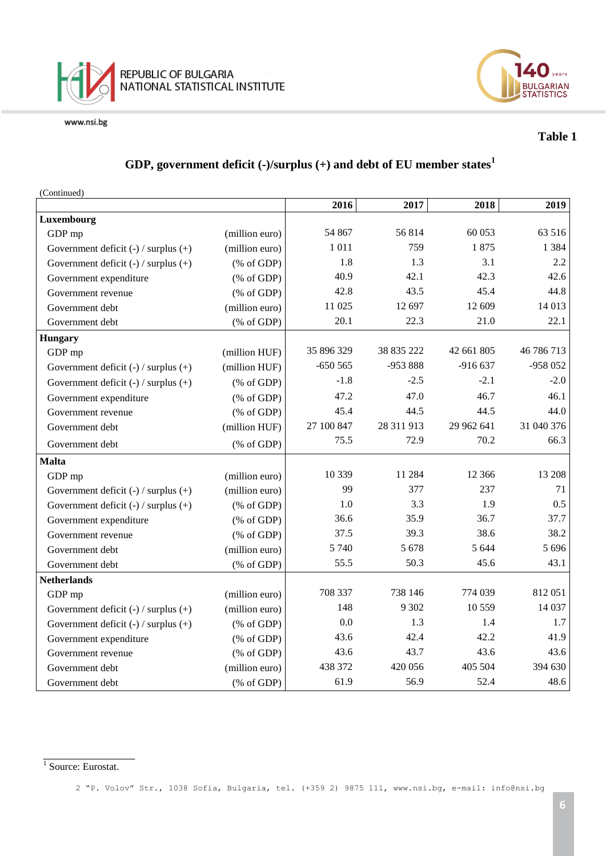



### **Table 1**

## **GDP, government deficit (-)/surplus (+) and debt of EU member states<sup>1</sup>**

(Continued)

|                                          |                                                       | 2016       | 2017       | 2018       | 2019       |
|------------------------------------------|-------------------------------------------------------|------------|------------|------------|------------|
| Luxembourg                               |                                                       |            |            |            |            |
| GDP mp                                   | (million euro)                                        | 54 867     | 56814      | 60 053     | 63 516     |
| Government deficit $(-)$ / surplus $(+)$ | (million euro)                                        | 1011       | 759        | 1875       | 1 3 8 4    |
| Government deficit $(-)$ / surplus $(+)$ | $(% \mathcal{L}_{0} \cap \mathcal{L}_{1})$ (% of GDP) | 1.8        | 1.3        | 3.1        | 2.2        |
| Government expenditure                   | $(% \mathcal{L}_{0} \cap \mathcal{L}_{1})$ (% of GDP) | 40.9       | 42.1       | 42.3       | 42.6       |
| Government revenue                       | $(% \mathcal{L}_{0}$ (% of GDP)                       | 42.8       | 43.5       | 45.4       | 44.8       |
| Government debt                          | (million euro)                                        | 11 025     | 12 697     | 12 609     | 14 013     |
| Government debt                          | $(% \mathcal{L}_{0} \cap \mathcal{L}_{1})$ (% of GDP) | 20.1       | 22.3       | 21.0       | 22.1       |
| <b>Hungary</b>                           |                                                       |            |            |            |            |
| GDP mp                                   | (million HUF)                                         | 35 896 329 | 38 835 222 | 42 661 805 | 46 786 713 |
| Government deficit $(-)$ / surplus $(+)$ | (million HUF)                                         | $-650565$  | -953 888   | $-916637$  | -958 052   |
| Government deficit $(-)$ / surplus $(+)$ | $(% \mathcal{L}_{0}^{\infty}$ (% of GDP)              | $-1.8$     | $-2.5$     | $-2.1$     | $-2.0$     |
| Government expenditure                   | $(% \mathcal{L}_{0} \cap \mathcal{L}_{1})$ (% of GDP) | 47.2       | 47.0       | 46.7       | 46.1       |
| Government revenue                       | $(% \mathcal{L}_{0} \cap \mathcal{L}_{1})$ (% of GDP) | 45.4       | 44.5       | 44.5       | 44.0       |
| Government debt                          | (million HUF)                                         | 27 100 847 | 28 311 913 | 29 962 641 | 31 040 376 |
| Government debt                          | $(% \mathcal{L}_{0} \cap \mathcal{L}_{1})$ (% of GDP) | 75.5       | 72.9       | 70.2       | 66.3       |
| <b>Malta</b>                             |                                                       |            |            |            |            |
| GDP mp                                   | (million euro)                                        | 10 339     | 11 284     | 12 3 6 6   | 13 208     |
| Government deficit $(-)$ / surplus $(+)$ | (million euro)                                        | 99         | 377        | 237        | 71         |
| Government deficit $(-)$ / surplus $(+)$ | $(% \mathcal{L}_{0} \cap \mathcal{L}_{1})$ (% of GDP) | 1.0        | 3.3        | 1.9        | 0.5        |
| Government expenditure                   | $(% \mathcal{L}_{0} \cap \mathcal{L}_{1})$ (% of GDP) | 36.6       | 35.9       | 36.7       | 37.7       |
| Government revenue                       | $(% \mathcal{L}_{0} \cap \mathcal{L}_{1})$ (% of GDP) | 37.5       | 39.3       | 38.6       | 38.2       |
| Government debt                          | (million euro)                                        | 5 7 4 0    | 5 6 7 8    | 5 6 4 4    | 5 6 9 6    |
| Government debt                          | $(% \mathcal{L}_{0} \cap \mathcal{L}_{1})$ (% of GDP) | 55.5       | 50.3       | 45.6       | 43.1       |
| <b>Netherlands</b>                       |                                                       |            |            |            |            |
| GDP mp                                   | (million euro)                                        | 708 337    | 738 146    | 774 039    | 812051     |
| Government deficit $(-)$ / surplus $(+)$ | (million euro)                                        | 148        | 9 3 0 2    | 10 559     | 14 037     |
| Government deficit $(-)$ / surplus $(+)$ | $(% \mathcal{L}_{0} \cap \mathcal{L}_{1})$ (% of GDP) | 0.0        | 1.3        | 1.4        | 1.7        |
| Government expenditure                   | $(% \mathcal{L}_{0} \cap \mathcal{L}_{1})$ (% of GDP) | 43.6       | 42.4       | 42.2       | 41.9       |
| Government revenue                       | $(% \mathcal{L}_{0} \cap \mathcal{L}_{1})$ (% of GDP) | 43.6       | 43.7       | 43.6       | 43.6       |
| Government debt                          | (million euro)                                        | 438 372    | 420 056    | 405 504    | 394 630    |
| Government debt                          | (% of GDP)                                            | 61.9       | 56.9       | 52.4       | 48.6       |

 $\frac{1}{1}$  Source: Eurostat.

<sup>2</sup> "P. Volov" Str., 1038 Sofia, Bulgaria, tel. (+359 2) 9875 111, [www.nsi.bg,](http://www.nsi.bg/) e-mail: info@nsi.bg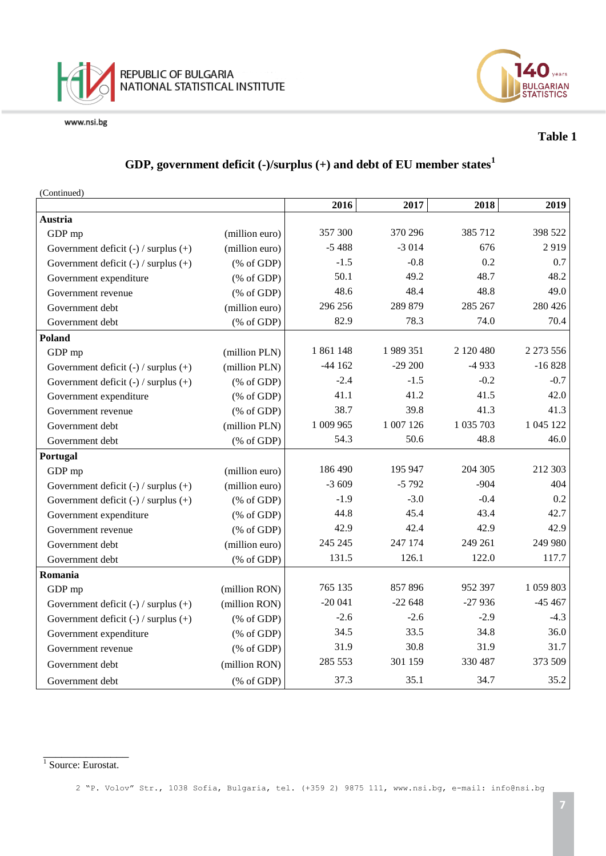



## **Table 1**

## **GDP, government deficit (-)/surplus (+) and debt of EU member states<sup>1</sup>**

(Continued)

|                                          |                                                       | 2016      | 2017      | 2018      | 2019      |
|------------------------------------------|-------------------------------------------------------|-----------|-----------|-----------|-----------|
| Austria                                  |                                                       |           |           |           |           |
| GDP mp                                   | (million euro)                                        | 357 300   | 370 296   | 385 712   | 398 522   |
| Government deficit $(-)$ / surplus $(+)$ | (million euro)                                        | $-5488$   | $-3014$   | 676       | 2919      |
| Government deficit $(-)$ / surplus $(+)$ | $(% \mathcal{L}_{0}^{\infty}$ (% of GDP)              | $-1.5$    | $-0.8$    | 0.2       | 0.7       |
| Government expenditure                   | $(% \mathcal{L}_{0}^{\infty}$ (% of GDP)              | 50.1      | 49.2      | 48.7      | 48.2      |
| Government revenue                       | $(% \mathcal{L}_{0} \cap \mathcal{L}_{1})$ (% of GDP) | 48.6      | 48.4      | 48.8      | 49.0      |
| Government debt                          | (million euro)                                        | 296 256   | 289 879   | 285 267   | 280 426   |
| Government debt                          | $(% \mathcal{L}_{0} \cap \mathcal{L}_{1})$ (% of GDP) | 82.9      | 78.3      | 74.0      | 70.4      |
| Poland                                   |                                                       |           |           |           |           |
| GDP mp                                   | (million PLN)                                         | 1861148   | 1989351   | 2 120 480 | 2 273 556 |
| Government deficit $(-)$ / surplus $(+)$ | (million PLN)                                         | $-44162$  | $-29200$  | $-4933$   | $-16828$  |
| Government deficit $(-)$ / surplus $(+)$ | $(% \mathcal{L}_{0}^{\infty}$ (% of GDP)              | $-2.4$    | $-1.5$    | $-0.2$    | $-0.7$    |
| Government expenditure                   | $(% \mathcal{L}_{0}^{\infty}$ (% of GDP)              | 41.1      | 41.2      | 41.5      | 42.0      |
| Government revenue                       | $(% \mathcal{L}_{0}^{\infty}$ (% of GDP)              | 38.7      | 39.8      | 41.3      | 41.3      |
| Government debt                          | (million PLN)                                         | 1 009 965 | 1 007 126 | 1 035 703 | 1 045 122 |
| Government debt                          | $(% \mathcal{L}_{0}$ (% of GDP)                       | 54.3      | 50.6      | 48.8      | 46.0      |
| Portugal                                 |                                                       |           |           |           |           |
| GDP mp                                   | (million euro)                                        | 186 490   | 195 947   | 204 305   | 212 303   |
| Government deficit $(-)$ / surplus $(+)$ | (million euro)                                        | $-3609$   | $-5792$   | $-904$    | 404       |
| Government deficit $(-)$ / surplus $(+)$ | $(% \mathcal{L}_{0}^{\infty}$ (% of GDP)              | $-1.9$    | $-3.0$    | $-0.4$    | 0.2       |
| Government expenditure                   | $(% \mathcal{L}_{0}^{\infty}$ (% of GDP)              | 44.8      | 45.4      | 43.4      | 42.7      |
| Government revenue                       | $(% \mathcal{L}_{0} \cap \mathcal{L}_{1})$ (% of GDP) | 42.9      | 42.4      | 42.9      | 42.9      |
| Government debt                          | (million euro)                                        | 245 245   | 247 174   | 249 261   | 249 980   |
| Government debt                          | $(% \mathcal{L}_{0}$ (% of GDP)                       | 131.5     | 126.1     | 122.0     | 117.7     |
| Romania                                  |                                                       |           |           |           |           |
| GDP mp                                   | (million RON)                                         | 765 135   | 857896    | 952 397   | 1 059 803 |
| Government deficit $(-)$ / surplus $(+)$ | (million RON)                                         | $-20041$  | $-22648$  | $-27936$  | $-45467$  |
| Government deficit $(-)$ / surplus $(+)$ | $(% \mathcal{L}_{0}^{\infty}$ (% of GDP)              | $-2.6$    | $-2.6$    | $-2.9$    | $-4.3$    |
| Government expenditure                   | $(% \mathcal{L}_{0}^{\infty}$ (% of GDP)              | 34.5      | 33.5      | 34.8      | 36.0      |
| Government revenue                       | $(% \mathcal{L}_{0} \cap \mathcal{L}_{1})$ (% of GDP) | 31.9      | 30.8      | 31.9      | 31.7      |
| Government debt                          | (million RON)                                         | 285 553   | 301 159   | 330 487   | 373 509   |
| Government debt                          | $(% \mathcal{L}_{0} \cap \mathcal{L}_{1})$ (% of GDP) | 37.3      | 35.1      | 34.7      | 35.2      |

 $\frac{1}{1}$  Source: Eurostat.

<sup>2</sup> "P. Volov" Str., 1038 Sofia, Bulgaria, tel. (+359 2) 9875 111, [www.nsi.bg,](http://www.nsi.bg/) e-mail: info@nsi.bg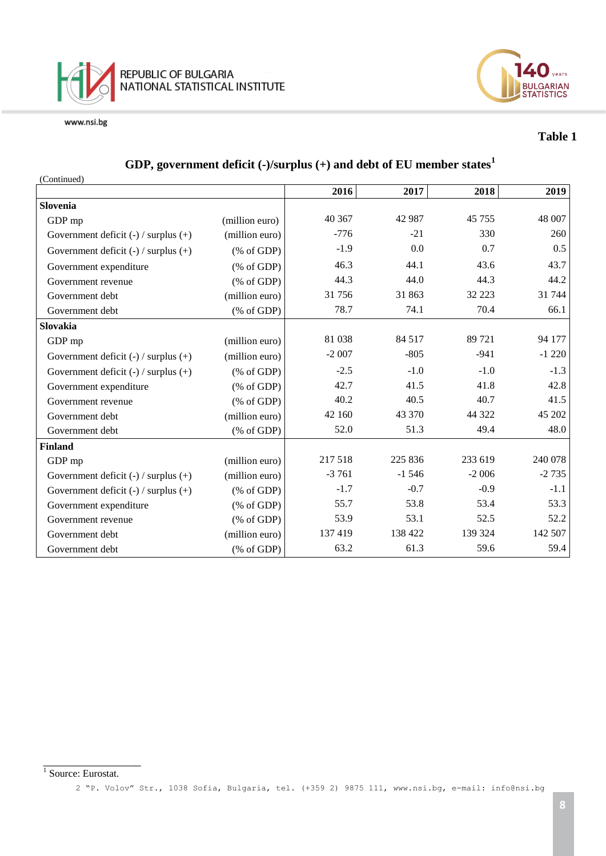



## **Table 1**

## **GDP, government deficit (-)/surplus (+) and debt of EU member states<sup>1</sup>**

| (Continued)                              |                                                       |         |         |         |         |
|------------------------------------------|-------------------------------------------------------|---------|---------|---------|---------|
|                                          |                                                       | 2016    | 2017    | 2018    | 2019    |
| <b>Slovenia</b>                          |                                                       |         |         |         |         |
| GDP mp                                   | (million euro)                                        | 40 367  | 42 987  | 45 755  | 48 007  |
| Government deficit $(-)$ / surplus $(+)$ | (million euro)                                        | $-776$  | $-21$   | 330     | 260     |
| Government deficit $(-)$ / surplus $(+)$ | % of GDP                                              | $-1.9$  | 0.0     | 0.7     | 0.5     |
| Government expenditure                   | $(% \mathcal{L}_{0} \cap \mathcal{L}_{1})$ (% of GDP) | 46.3    | 44.1    | 43.6    | 43.7    |
| Government revenue                       | % of GDP                                              | 44.3    | 44.0    | 44.3    | 44.2    |
| Government debt                          | (million euro)                                        | 31756   | 31 863  | 32 223  | 31 744  |
| Government debt                          | $(% \mathcal{L}_{0} \cap \mathcal{L}_{1})$ (% of GDP) | 78.7    | 74.1    | 70.4    | 66.1    |
| Slovakia                                 |                                                       |         |         |         |         |
| GDP mp                                   | (million euro)                                        | 81 038  | 84 517  | 89 721  | 94 177  |
| Government deficit $(-)$ / surplus $(+)$ | (million euro)                                        | $-2007$ | $-805$  | $-941$  | $-1220$ |
| Government deficit $(-)$ / surplus $(+)$ | % of GDP                                              | $-2.5$  | $-1.0$  | $-1.0$  | $-1.3$  |
| Government expenditure                   | $(% \mathcal{L}_{0} \cap \mathcal{L}_{1})$ (% of GDP) | 42.7    | 41.5    | 41.8    | 42.8    |
| Government revenue                       | $(% \mathcal{L}_{0}^{\infty}$ (% of GDP)              | 40.2    | 40.5    | 40.7    | 41.5    |
| Government debt                          | (million euro)                                        | 42 160  | 43 370  | 44 322  | 45 202  |
| Government debt                          | $(% \mathcal{L}_{0} \cap \mathcal{L}_{1})$ (% of GDP) | 52.0    | 51.3    | 49.4    | 48.0    |
| <b>Finland</b>                           |                                                       |         |         |         |         |
| GDP mp                                   | (million euro)                                        | 217 518 | 225 836 | 233 619 | 240 078 |
| Government deficit $(-)$ / surplus $(+)$ | (million euro)                                        | $-3761$ | $-1546$ | $-2006$ | $-2735$ |
| Government deficit $(-)$ / surplus $(+)$ | % of GDP                                              | $-1.7$  | $-0.7$  | $-0.9$  | $-1.1$  |
| Government expenditure                   | % of GDP                                              | 55.7    | 53.8    | 53.4    | 53.3    |
| Government revenue                       | $(% \mathcal{L}_{0} \cap \mathcal{L}_{1})$ (% of GDP) | 53.9    | 53.1    | 52.5    | 52.2    |
| Government debt                          | (million euro)                                        | 137419  | 138 422 | 139 324 | 142 507 |
| Government debt                          | $(% \mathcal{L}_{0}^{\infty}$ (% of GDP)              | 63.2    | 61.3    | 59.6    | 59.4    |

# 1<br><sup>1</sup> Source: Eurostat.

2 "P. Volov" Str., 1038 Sofia, Bulgaria, tel. (+359 2) 9875 111, [www.nsi.bg,](http://www.nsi.bg/) e-mail: info@nsi.bg